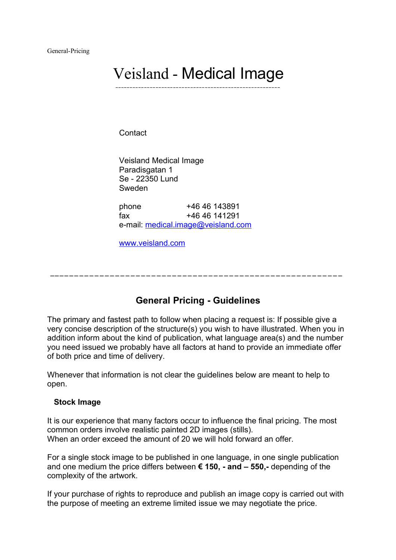General-Pricing

# Veisland - Medical Image **\_\_\_\_\_\_\_\_\_\_\_\_\_\_\_\_\_\_\_\_\_\_\_\_\_\_\_\_\_\_\_\_\_\_\_\_\_\_\_\_\_\_\_\_\_\_\_\_\_\_\_\_\_\_\_\_\_**

**Contact** 

Veisland Medical Image Paradisgatan 1 Se - 22350 Lund Sweden

phone +46 46 143891 fax +46 46 141291 e-mail: [medical.image@veisland.com](mailto:medical.image@veisland.com)

[www.veisland.com](http://www.veisland.com/)

 $\mathcal{L} = \{ \mathcal{L} \mid \mathcal{L} = \mathcal{L} \}$ 

# **General Pricing - Guidelines**

The primary and fastest path to follow when placing a request is: If possible give a very concise description of the structure(s) you wish to have illustrated. When you in addition inform about the kind of publication, what language area(s) and the number you need issued we probably have all factors at hand to provide an immediate offer of both price and time of delivery.

Whenever that information is not clear the guidelines below are meant to help to open.

#### **Stock Image**

It is our experience that many factors occur to influence the final pricing. The most common orders involve realistic painted 2D images (stills). When an order exceed the amount of 20 we will hold forward an offer.

For a single stock image to be published in one language, in one single publication and one medium the price differs between **€ 150, - and – 550,-** depending of the complexity of the artwork.

If your purchase of rights to reproduce and publish an image copy is carried out with the purpose of meeting an extreme limited issue we may negotiate the price.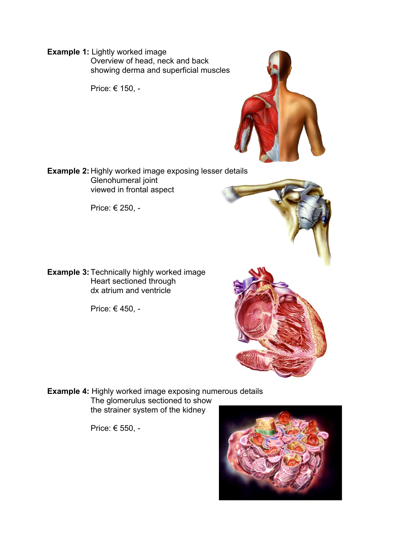**Example 1:** Lightly worked image Overview of head, neck and back showing derma and superficial muscles

Price: € 150, -



**Example 2:** Highly worked image exposing lesser details Glenohumeral joint viewed in frontal aspect

Price: € 250, -

**Example 3:** Technically highly worked image Heart sectioned through dx atrium and ventricle

Price: € 450, -

**Example 4:** Highly worked image exposing numerous details The glomerulus sectioned to show the strainer system of the kidney

Price: € 550, -

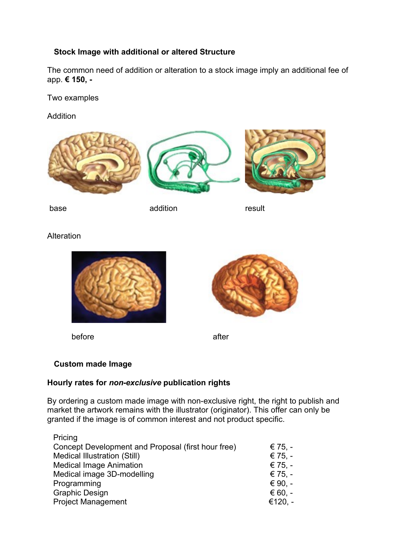# **Stock Image with additional or altered Structure**

The common need of addition or alteration to a stock image imply an additional fee of app. **€ 150, -**

Two examples

Addition







base addition and according the suit

Alteration



before after



# **Custom made Image**

## **Hourly rates for** *non-exclusive* **publication rights**

By ordering a custom made image with non-exclusive right, the right to publish and market the artwork remains with the illustrator (originator). This offer can only be granted if the image is of common interest and not product specific.

| Pricing                                            |           |
|----------------------------------------------------|-----------|
| Concept Development and Proposal (first hour free) | € 75. –   |
| <b>Medical Illustration (Still)</b>                | € 75. $-$ |
| <b>Medical Image Animation</b>                     | € 75. $-$ |
| Medical image 3D-modelling                         | € 75. $-$ |
| Programming                                        | € 90. $-$ |
| <b>Graphic Design</b>                              | € 60, $-$ |
| <b>Project Management</b>                          | €120. -   |